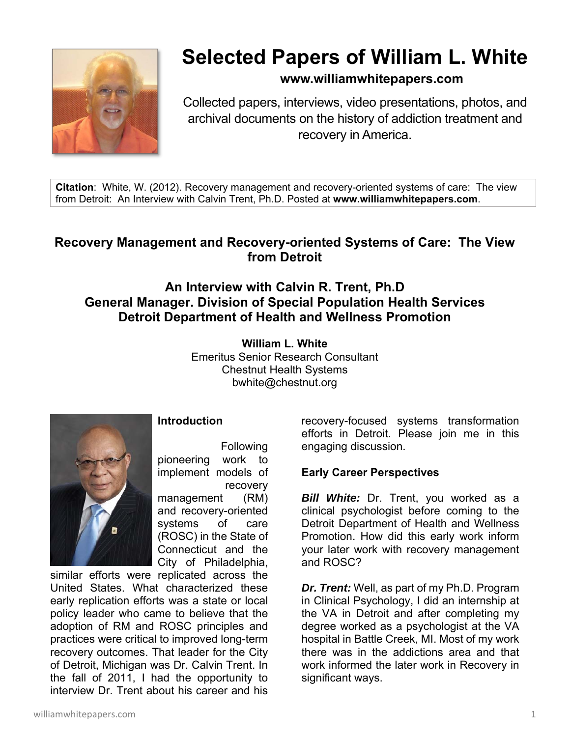

# **Selected Papers of William L. White**

# **www.williamwhitepapers.com**

Collected papers, interviews, video presentations, photos, and archival documents on the history of addiction treatment and recovery in America.

**Citation**: White, W. (2012). Recovery management and recovery-oriented systems of care: The view from Detroit: An Interview with Calvin Trent, Ph.D. Posted at **www.williamwhitepapers.com**.

# **Recovery Management and Recovery-oriented Systems of Care: The View from Detroit**

# **An Interview with Calvin R. Trent, Ph.D General Manager. Division of Special Population Health Services Detroit Department of Health and Wellness Promotion**

**William L. White**  Emeritus Senior Research Consultant Chestnut Health Systems bwhite@chestnut.org



## **Introduction**

 Following pioneering work to implement models of recovery

management (RM) and recovery-oriented systems of care (ROSC) in the State of Connecticut and the City of Philadelphia,

similar efforts were replicated across the United States. What characterized these early replication efforts was a state or local policy leader who came to believe that the adoption of RM and ROSC principles and practices were critical to improved long-term recovery outcomes. That leader for the City of Detroit, Michigan was Dr. Calvin Trent. In the fall of 2011, I had the opportunity to interview Dr. Trent about his career and his

recovery-focused systems transformation efforts in Detroit. Please join me in this engaging discussion.

## **Early Career Perspectives**

*Bill White:* Dr. Trent, you worked as a clinical psychologist before coming to the Detroit Department of Health and Wellness Promotion. How did this early work inform your later work with recovery management and ROSC?

*Dr. Trent:* Well, as part of my Ph.D. Program in Clinical Psychology, I did an internship at the VA in Detroit and after completing my degree worked as a psychologist at the VA hospital in Battle Creek, MI. Most of my work there was in the addictions area and that work informed the later work in Recovery in significant ways.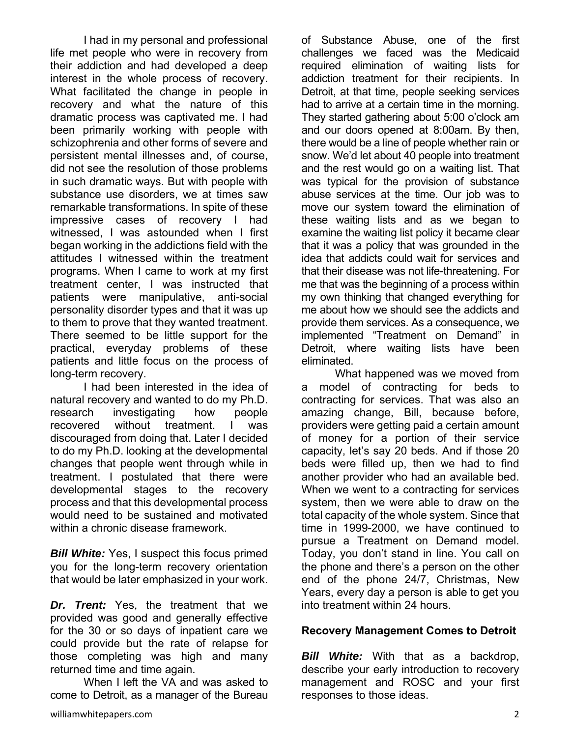I had in my personal and professional life met people who were in recovery from their addiction and had developed a deep interest in the whole process of recovery. What facilitated the change in people in recovery and what the nature of this dramatic process was captivated me. I had been primarily working with people with schizophrenia and other forms of severe and persistent mental illnesses and, of course, did not see the resolution of those problems in such dramatic ways. But with people with substance use disorders, we at times saw remarkable transformations. In spite of these impressive cases of recovery I had witnessed. I was astounded when I first began working in the addictions field with the attitudes I witnessed within the treatment programs. When I came to work at my first treatment center, I was instructed that patients were manipulative, anti-social personality disorder types and that it was up to them to prove that they wanted treatment. There seemed to be little support for the practical, everyday problems of these patients and little focus on the process of long-term recovery.

 I had been interested in the idea of natural recovery and wanted to do my Ph.D. research investigating how people recovered without treatment. I was discouraged from doing that. Later I decided to do my Ph.D. looking at the developmental changes that people went through while in treatment. I postulated that there were developmental stages to the recovery process and that this developmental process would need to be sustained and motivated within a chronic disease framework.

*Bill White:* Yes, I suspect this focus primed you for the long-term recovery orientation that would be later emphasized in your work.

*Dr. Trent:* Yes, the treatment that we provided was good and generally effective for the 30 or so days of inpatient care we could provide but the rate of relapse for those completing was high and many returned time and time again.

 When I left the VA and was asked to come to Detroit, as a manager of the Bureau of Substance Abuse, one of the first challenges we faced was the Medicaid required elimination of waiting lists for addiction treatment for their recipients. In Detroit, at that time, people seeking services had to arrive at a certain time in the morning. They started gathering about 5:00 o'clock am and our doors opened at 8:00am. By then, there would be a line of people whether rain or snow. We'd let about 40 people into treatment and the rest would go on a waiting list. That was typical for the provision of substance abuse services at the time. Our job was to move our system toward the elimination of these waiting lists and as we began to examine the waiting list policy it became clear that it was a policy that was grounded in the idea that addicts could wait for services and that their disease was not life-threatening. For me that was the beginning of a process within my own thinking that changed everything for me about how we should see the addicts and provide them services. As a consequence, we implemented "Treatment on Demand" in Detroit, where waiting lists have been eliminated.

 What happened was we moved from a model of contracting for beds to contracting for services. That was also an amazing change, Bill, because before, providers were getting paid a certain amount of money for a portion of their service capacity, let's say 20 beds. And if those 20 beds were filled up, then we had to find another provider who had an available bed. When we went to a contracting for services system, then we were able to draw on the total capacity of the whole system. Since that time in 1999-2000, we have continued to pursue a Treatment on Demand model. Today, you don't stand in line. You call on the phone and there's a person on the other end of the phone 24/7, Christmas, New Years, every day a person is able to get you into treatment within 24 hours.

#### **Recovery Management Comes to Detroit**

*Bill White:* With that as a backdrop, describe your early introduction to recovery management and ROSC and your first responses to those ideas.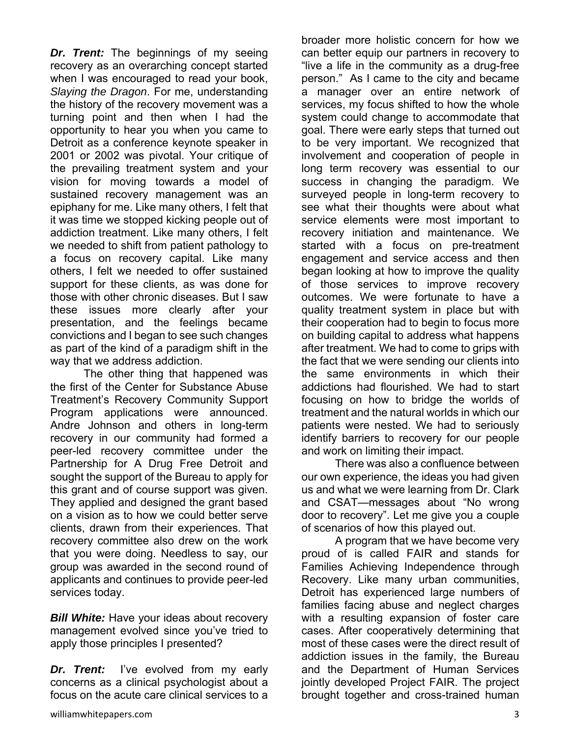*Dr. Trent:* The beginnings of my seeing recovery as an overarching concept started when I was encouraged to read your book, *Slaying the Dragon*. For me, understanding the history of the recovery movement was a turning point and then when I had the opportunity to hear you when you came to Detroit as a conference keynote speaker in 2001 or 2002 was pivotal. Your critique of the prevailing treatment system and your vision for moving towards a model of sustained recovery management was an epiphany for me. Like many others, I felt that it was time we stopped kicking people out of addiction treatment. Like many others, I felt we needed to shift from patient pathology to a focus on recovery capital. Like many others, I felt we needed to offer sustained support for these clients, as was done for those with other chronic diseases. But I saw these issues more clearly after your presentation, and the feelings became convictions and I began to see such changes as part of the kind of a paradigm shift in the way that we address addiction.

 The other thing that happened was the first of the Center for Substance Abuse Treatment's Recovery Community Support Program applications were announced. Andre Johnson and others in long-term recovery in our community had formed a peer-led recovery committee under the Partnership for A Drug Free Detroit and sought the support of the Bureau to apply for this grant and of course support was given. They applied and designed the grant based on a vision as to how we could better serve clients, drawn from their experiences. That recovery committee also drew on the work that you were doing. Needless to say, our group was awarded in the second round of applicants and continues to provide peer-led services today.

*Bill White:* Have your ideas about recovery management evolved since you've tried to apply those principles I presented?

*Dr. Trent:* I've evolved from my early concerns as a clinical psychologist about a focus on the acute care clinical services to a

broader more holistic concern for how we can better equip our partners in recovery to "live a life in the community as a drug-free person." As I came to the city and became a manager over an entire network of services, my focus shifted to how the whole system could change to accommodate that goal. There were early steps that turned out to be very important. We recognized that involvement and cooperation of people in long term recovery was essential to our success in changing the paradigm. We surveyed people in long-term recovery to see what their thoughts were about what service elements were most important to recovery initiation and maintenance. We started with a focus on pre-treatment engagement and service access and then began looking at how to improve the quality of those services to improve recovery outcomes. We were fortunate to have a quality treatment system in place but with their cooperation had to begin to focus more on building capital to address what happens after treatment. We had to come to grips with the fact that we were sending our clients into the same environments in which their addictions had flourished. We had to start focusing on how to bridge the worlds of treatment and the natural worlds in which our patients were nested. We had to seriously identify barriers to recovery for our people and work on limiting their impact.

 There was also a confluence between our own experience, the ideas you had given us and what we were learning from Dr. Clark and CSAT—messages about "No wrong door to recovery". Let me give you a couple of scenarios of how this played out.

 A program that we have become very proud of is called FAIR and stands for Families Achieving Independence through Recovery. Like many urban communities, Detroit has experienced large numbers of families facing abuse and neglect charges with a resulting expansion of foster care cases. After cooperatively determining that most of these cases were the direct result of addiction issues in the family, the Bureau and the Department of Human Services jointly developed Project FAIR. The project brought together and cross-trained human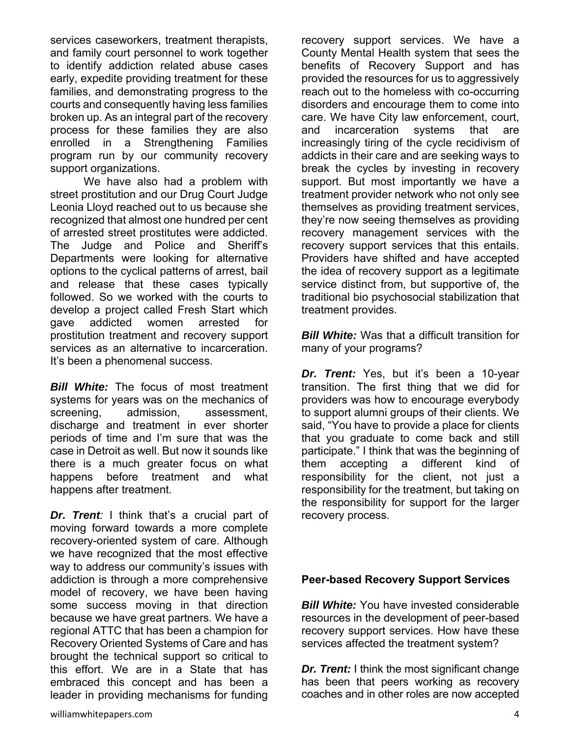services caseworkers, treatment therapists, and family court personnel to work together to identify addiction related abuse cases early, expedite providing treatment for these families, and demonstrating progress to the courts and consequently having less families broken up. As an integral part of the recovery process for these families they are also enrolled in a Strengthening Families program run by our community recovery support organizations.

 We have also had a problem with street prostitution and our Drug Court Judge Leonia Lloyd reached out to us because she recognized that almost one hundred per cent of arrested street prostitutes were addicted. The Judge and Police and Sheriff's Departments were looking for alternative options to the cyclical patterns of arrest, bail and release that these cases typically followed. So we worked with the courts to develop a project called Fresh Start which gave addicted women arrested for prostitution treatment and recovery support services as an alternative to incarceration. It's been a phenomenal success.

*Bill White:* The focus of most treatment systems for years was on the mechanics of screening, admission, assessment, discharge and treatment in ever shorter periods of time and I'm sure that was the case in Detroit as well. But now it sounds like there is a much greater focus on what happens before treatment and what happens after treatment.

*Dr. Trent:* I think that's a crucial part of moving forward towards a more complete recovery-oriented system of care. Although we have recognized that the most effective way to address our community's issues with addiction is through a more comprehensive model of recovery, we have been having some success moving in that direction because we have great partners. We have a regional ATTC that has been a champion for Recovery Oriented Systems of Care and has brought the technical support so critical to this effort. We are in a State that has embraced this concept and has been a leader in providing mechanisms for funding

recovery support services. We have a County Mental Health system that sees the benefits of Recovery Support and has provided the resources for us to aggressively reach out to the homeless with co-occurring disorders and encourage them to come into care. We have City law enforcement, court, and incarceration systems that are increasingly tiring of the cycle recidivism of addicts in their care and are seeking ways to break the cycles by investing in recovery support. But most importantly we have a treatment provider network who not only see themselves as providing treatment services, they're now seeing themselves as providing recovery management services with the recovery support services that this entails. Providers have shifted and have accepted the idea of recovery support as a legitimate service distinct from, but supportive of, the traditional bio psychosocial stabilization that treatment provides.

*Bill White:* Was that a difficult transition for many of your programs?

*Dr. Trent:* Yes, but it's been a 10-year transition. The first thing that we did for providers was how to encourage everybody to support alumni groups of their clients. We said, "You have to provide a place for clients that you graduate to come back and still participate." I think that was the beginning of them accepting a different kind of responsibility for the client, not just a responsibility for the treatment, but taking on the responsibility for support for the larger recovery process.

#### **Peer-based Recovery Support Services**

*Bill White:* You have invested considerable resources in the development of peer-based recovery support services. How have these services affected the treatment system?

*Dr. Trent:* I think the most significant change has been that peers working as recovery coaches and in other roles are now accepted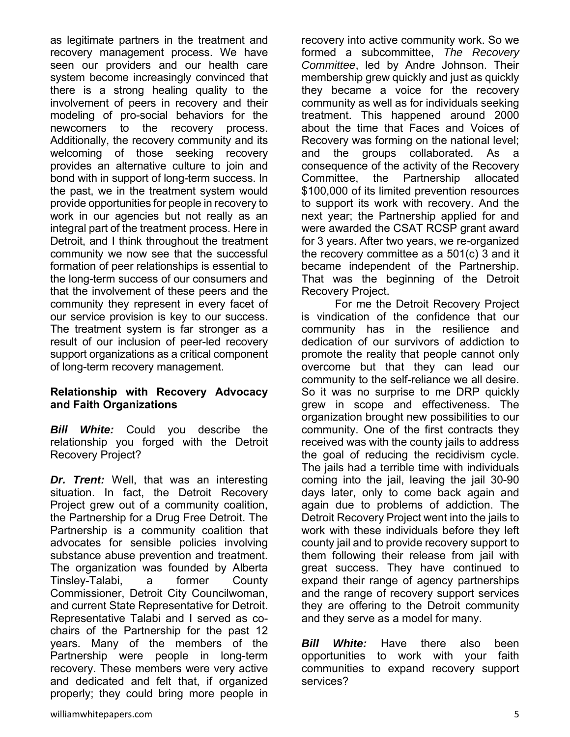as legitimate partners in the treatment and recovery management process. We have seen our providers and our health care system become increasingly convinced that there is a strong healing quality to the involvement of peers in recovery and their modeling of pro-social behaviors for the newcomers to the recovery process. Additionally, the recovery community and its welcoming of those seeking recovery provides an alternative culture to join and bond with in support of long-term success. In the past, we in the treatment system would provide opportunities for people in recovery to work in our agencies but not really as an integral part of the treatment process. Here in Detroit, and I think throughout the treatment community we now see that the successful formation of peer relationships is essential to the long-term success of our consumers and that the involvement of these peers and the community they represent in every facet of our service provision is key to our success. The treatment system is far stronger as a result of our inclusion of peer-led recovery support organizations as a critical component of long-term recovery management.

#### **Relationship with Recovery Advocacy and Faith Organizations**

*Bill White:* Could you describe the relationship you forged with the Detroit Recovery Project?

*Dr. Trent:* Well, that was an interesting situation. In fact, the Detroit Recovery Project grew out of a community coalition, the Partnership for a Drug Free Detroit. The Partnership is a community coalition that advocates for sensible policies involving substance abuse prevention and treatment. The organization was founded by Alberta Tinsley-Talabi, a former County Commissioner, Detroit City Councilwoman, and current State Representative for Detroit. Representative Talabi and I served as cochairs of the Partnership for the past 12 years. Many of the members of the Partnership were people in long-term recovery. These members were very active and dedicated and felt that, if organized properly; they could bring more people in

recovery into active community work. So we formed a subcommittee, *The Recovery Committee*, led by Andre Johnson. Their membership grew quickly and just as quickly they became a voice for the recovery community as well as for individuals seeking treatment. This happened around 2000 about the time that Faces and Voices of Recovery was forming on the national level; and the groups collaborated. As a consequence of the activity of the Recovery Committee, the Partnership allocated \$100,000 of its limited prevention resources to support its work with recovery. And the next year; the Partnership applied for and were awarded the CSAT RCSP grant award for 3 years. After two years, we re-organized the recovery committee as a 501(c) 3 and it became independent of the Partnership. That was the beginning of the Detroit Recovery Project.

 For me the Detroit Recovery Project is vindication of the confidence that our community has in the resilience and dedication of our survivors of addiction to promote the reality that people cannot only overcome but that they can lead our community to the self-reliance we all desire. So it was no surprise to me DRP quickly grew in scope and effectiveness. The organization brought new possibilities to our community. One of the first contracts they received was with the county jails to address the goal of reducing the recidivism cycle. The jails had a terrible time with individuals coming into the jail, leaving the jail 30-90 days later, only to come back again and again due to problems of addiction. The Detroit Recovery Project went into the jails to work with these individuals before they left county jail and to provide recovery support to them following their release from jail with great success. They have continued to expand their range of agency partnerships and the range of recovery support services they are offering to the Detroit community and they serve as a model for many.

*Bill White:* Have there also been opportunities to work with your faith communities to expand recovery support services?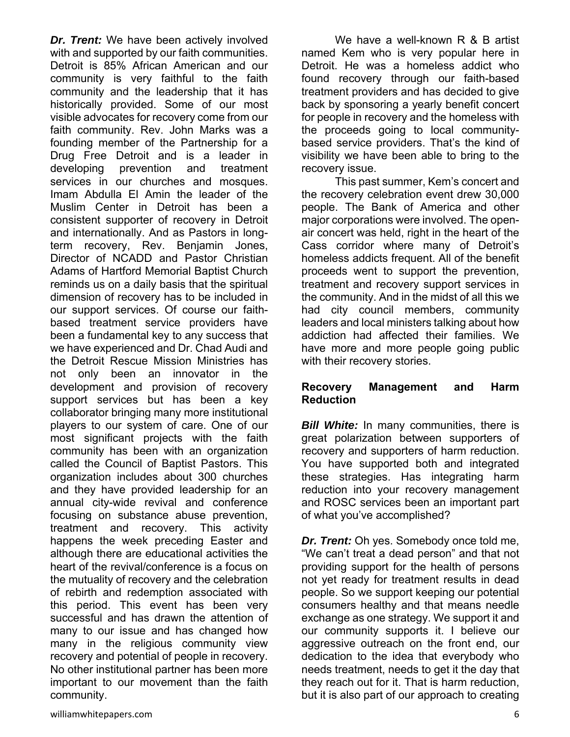*Dr. Trent:* We have been actively involved with and supported by our faith communities. Detroit is 85% African American and our community is very faithful to the faith community and the leadership that it has historically provided. Some of our most visible advocates for recovery come from our faith community. Rev. John Marks was a founding member of the Partnership for a Drug Free Detroit and is a leader in developing prevention and treatment services in our churches and mosques. Imam Abdulla El Amin the leader of the Muslim Center in Detroit has been a consistent supporter of recovery in Detroit and internationally. And as Pastors in longterm recovery, Rev. Benjamin Jones, Director of NCADD and Pastor Christian Adams of Hartford Memorial Baptist Church reminds us on a daily basis that the spiritual dimension of recovery has to be included in our support services. Of course our faithbased treatment service providers have been a fundamental key to any success that we have experienced and Dr. Chad Audi and the Detroit Rescue Mission Ministries has not only been an innovator in the development and provision of recovery support services but has been a key collaborator bringing many more institutional players to our system of care. One of our most significant projects with the faith community has been with an organization called the Council of Baptist Pastors. This organization includes about 300 churches and they have provided leadership for an annual city-wide revival and conference focusing on substance abuse prevention, treatment and recovery. This activity happens the week preceding Easter and although there are educational activities the heart of the revival/conference is a focus on the mutuality of recovery and the celebration of rebirth and redemption associated with this period. This event has been very successful and has drawn the attention of many to our issue and has changed how many in the religious community view recovery and potential of people in recovery. No other institutional partner has been more important to our movement than the faith community.

 We have a well-known R & B artist named Kem who is very popular here in Detroit. He was a homeless addict who found recovery through our faith-based treatment providers and has decided to give back by sponsoring a yearly benefit concert for people in recovery and the homeless with the proceeds going to local communitybased service providers. That's the kind of visibility we have been able to bring to the recovery issue.

 This past summer, Kem's concert and the recovery celebration event drew 30,000 people. The Bank of America and other major corporations were involved. The openair concert was held, right in the heart of the Cass corridor where many of Detroit's homeless addicts frequent. All of the benefit proceeds went to support the prevention, treatment and recovery support services in the community. And in the midst of all this we had city council members, community leaders and local ministers talking about how addiction had affected their families. We have more and more people going public with their recovery stories.

#### **Recovery Management and Harm Reduction**

*Bill White:* In many communities, there is great polarization between supporters of recovery and supporters of harm reduction. You have supported both and integrated these strategies. Has integrating harm reduction into your recovery management and ROSC services been an important part of what you've accomplished?

*Dr. Trent:* Oh yes. Somebody once told me, "We can't treat a dead person" and that not providing support for the health of persons not yet ready for treatment results in dead people. So we support keeping our potential consumers healthy and that means needle exchange as one strategy. We support it and our community supports it. I believe our aggressive outreach on the front end, our dedication to the idea that everybody who needs treatment, needs to get it the day that they reach out for it. That is harm reduction, but it is also part of our approach to creating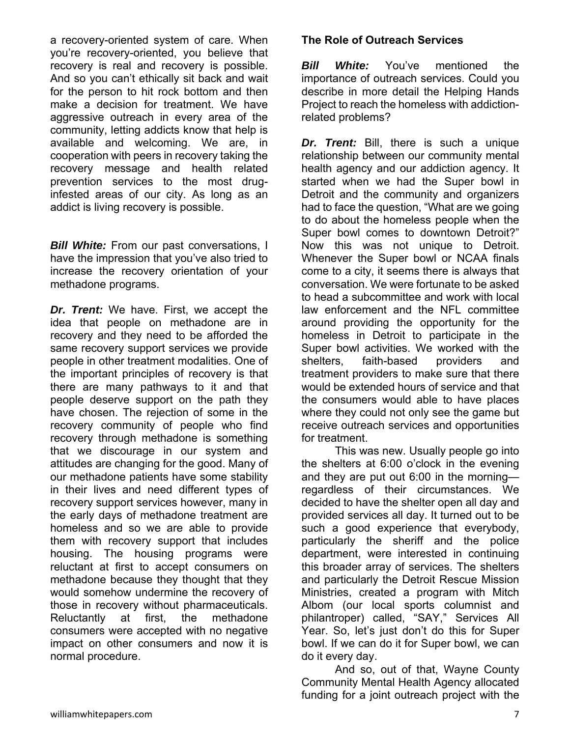a recovery-oriented system of care. When you're recovery-oriented, you believe that recovery is real and recovery is possible. And so you can't ethically sit back and wait for the person to hit rock bottom and then make a decision for treatment. We have aggressive outreach in every area of the community, letting addicts know that help is available and welcoming. We are, in cooperation with peers in recovery taking the recovery message and health related prevention services to the most druginfested areas of our city. As long as an addict is living recovery is possible.

*Bill White:* From our past conversations, I have the impression that you've also tried to increase the recovery orientation of your methadone programs.

*Dr. Trent:* We have. First, we accept the idea that people on methadone are in recovery and they need to be afforded the same recovery support services we provide people in other treatment modalities. One of the important principles of recovery is that there are many pathways to it and that people deserve support on the path they have chosen. The rejection of some in the recovery community of people who find recovery through methadone is something that we discourage in our system and attitudes are changing for the good. Many of our methadone patients have some stability in their lives and need different types of recovery support services however, many in the early days of methadone treatment are homeless and so we are able to provide them with recovery support that includes housing. The housing programs were reluctant at first to accept consumers on methadone because they thought that they would somehow undermine the recovery of those in recovery without pharmaceuticals. Reluctantly at first, the methadone consumers were accepted with no negative impact on other consumers and now it is normal procedure.

## **The Role of Outreach Services**

*Bill White:* You've mentioned the importance of outreach services. Could you describe in more detail the Helping Hands Project to reach the homeless with addictionrelated problems?

*Dr. Trent:* Bill, there is such a unique relationship between our community mental health agency and our addiction agency. It started when we had the Super bowl in Detroit and the community and organizers had to face the question, "What are we going to do about the homeless people when the Super bowl comes to downtown Detroit?" Now this was not unique to Detroit. Whenever the Super bowl or NCAA finals come to a city, it seems there is always that conversation. We were fortunate to be asked to head a subcommittee and work with local law enforcement and the NFL committee around providing the opportunity for the homeless in Detroit to participate in the Super bowl activities. We worked with the shelters, faith-based providers and treatment providers to make sure that there would be extended hours of service and that the consumers would able to have places where they could not only see the game but receive outreach services and opportunities for treatment.

 This was new. Usually people go into the shelters at 6:00 o'clock in the evening and they are put out 6:00 in the morning regardless of their circumstances. We decided to have the shelter open all day and provided services all day. It turned out to be such a good experience that everybody, particularly the sheriff and the police department, were interested in continuing this broader array of services. The shelters and particularly the Detroit Rescue Mission Ministries, created a program with Mitch Albom (our local sports columnist and philantroper) called, "SAY," Services All Year. So, let's just don't do this for Super bowl. If we can do it for Super bowl, we can do it every day.

 And so, out of that, Wayne County Community Mental Health Agency allocated funding for a joint outreach project with the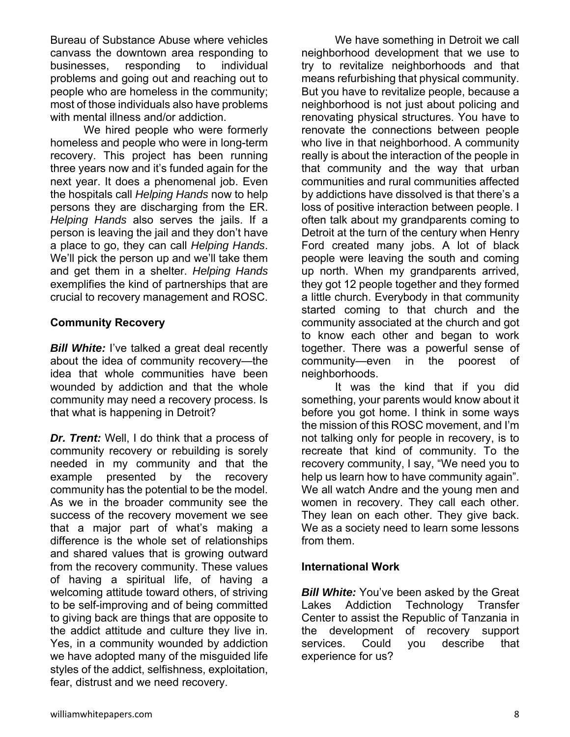Bureau of Substance Abuse where vehicles canvass the downtown area responding to businesses, responding to individual problems and going out and reaching out to people who are homeless in the community; most of those individuals also have problems with mental illness and/or addiction.

 We hired people who were formerly homeless and people who were in long-term recovery. This project has been running three years now and it's funded again for the next year. It does a phenomenal job. Even the hospitals call *Helping Hands* now to help persons they are discharging from the ER. *Helping Hands* also serves the jails. If a person is leaving the jail and they don't have a place to go, they can call *Helping Hands*. We'll pick the person up and we'll take them and get them in a shelter. *Helping Hands* exemplifies the kind of partnerships that are crucial to recovery management and ROSC.

#### **Community Recovery**

*Bill White:* I've talked a great deal recently about the idea of community recovery—the idea that whole communities have been wounded by addiction and that the whole community may need a recovery process. Is that what is happening in Detroit?

*Dr. Trent:* Well, I do think that a process of community recovery or rebuilding is sorely needed in my community and that the example presented by the recovery community has the potential to be the model. As we in the broader community see the success of the recovery movement we see that a major part of what's making a difference is the whole set of relationships and shared values that is growing outward from the recovery community. These values of having a spiritual life, of having a welcoming attitude toward others, of striving to be self-improving and of being committed to giving back are things that are opposite to the addict attitude and culture they live in. Yes, in a community wounded by addiction we have adopted many of the misguided life styles of the addict, selfishness, exploitation, fear, distrust and we need recovery.

 We have something in Detroit we call neighborhood development that we use to try to revitalize neighborhoods and that means refurbishing that physical community. But you have to revitalize people, because a neighborhood is not just about policing and renovating physical structures. You have to renovate the connections between people who live in that neighborhood. A community really is about the interaction of the people in that community and the way that urban communities and rural communities affected by addictions have dissolved is that there's a loss of positive interaction between people. I often talk about my grandparents coming to Detroit at the turn of the century when Henry Ford created many jobs. A lot of black people were leaving the south and coming up north. When my grandparents arrived, they got 12 people together and they formed a little church. Everybody in that community started coming to that church and the community associated at the church and got to know each other and began to work together. There was a powerful sense of community—even in the poorest of neighborhoods.

 It was the kind that if you did something, your parents would know about it before you got home. I think in some ways the mission of this ROSC movement, and I'm not talking only for people in recovery, is to recreate that kind of community. To the recovery community, I say, "We need you to help us learn how to have community again". We all watch Andre and the young men and women in recovery. They call each other. They lean on each other. They give back. We as a society need to learn some lessons from them.

#### **International Work**

**Bill White:** You've been asked by the Great Lakes Addiction Technology Transfer Center to assist the Republic of Tanzania in the development of recovery support services. Could you describe that experience for us?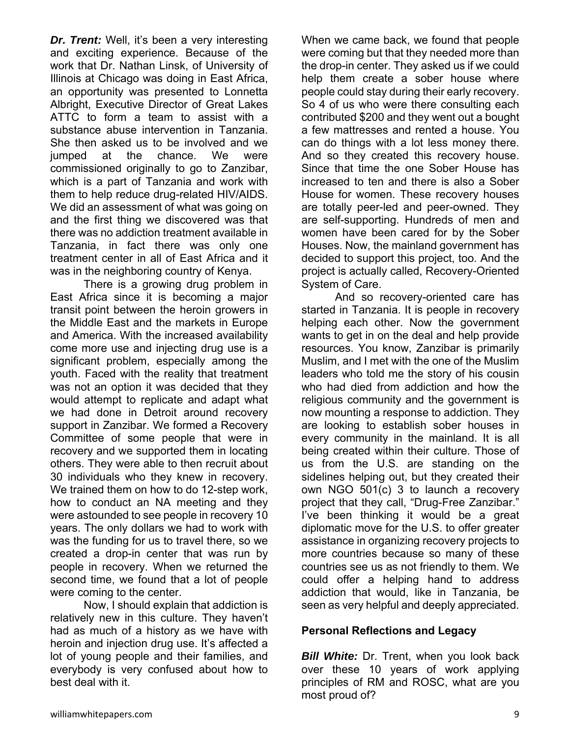*Dr. Trent:* Well, it's been a very interesting and exciting experience. Because of the work that Dr. Nathan Linsk, of University of Illinois at Chicago was doing in East Africa, an opportunity was presented to Lonnetta Albright, Executive Director of Great Lakes ATTC to form a team to assist with a substance abuse intervention in Tanzania. She then asked us to be involved and we jumped at the chance. We were commissioned originally to go to Zanzibar, which is a part of Tanzania and work with them to help reduce drug-related HIV/AIDS. We did an assessment of what was going on and the first thing we discovered was that there was no addiction treatment available in Tanzania, in fact there was only one treatment center in all of East Africa and it was in the neighboring country of Kenya.

 There is a growing drug problem in East Africa since it is becoming a major transit point between the heroin growers in the Middle East and the markets in Europe and America. With the increased availability come more use and injecting drug use is a significant problem, especially among the youth. Faced with the reality that treatment was not an option it was decided that they would attempt to replicate and adapt what we had done in Detroit around recovery support in Zanzibar. We formed a Recovery Committee of some people that were in recovery and we supported them in locating others. They were able to then recruit about 30 individuals who they knew in recovery. We trained them on how to do 12-step work, how to conduct an NA meeting and they were astounded to see people in recovery 10 years. The only dollars we had to work with was the funding for us to travel there, so we created a drop-in center that was run by people in recovery. When we returned the second time, we found that a lot of people were coming to the center.

 Now, I should explain that addiction is relatively new in this culture. They haven't had as much of a history as we have with heroin and injection drug use. It's affected a lot of young people and their families, and everybody is very confused about how to best deal with it.

When we came back, we found that people were coming but that they needed more than the drop-in center. They asked us if we could help them create a sober house where people could stay during their early recovery. So 4 of us who were there consulting each contributed \$200 and they went out a bought a few mattresses and rented a house. You can do things with a lot less money there. And so they created this recovery house. Since that time the one Sober House has increased to ten and there is also a Sober House for women. These recovery houses are totally peer-led and peer-owned. They are self-supporting. Hundreds of men and women have been cared for by the Sober Houses. Now, the mainland government has decided to support this project, too. And the project is actually called, Recovery-Oriented System of Care.

And so recovery-oriented care has started in Tanzania. It is people in recovery helping each other. Now the government wants to get in on the deal and help provide resources. You know, Zanzibar is primarily Muslim, and I met with the one of the Muslim leaders who told me the story of his cousin who had died from addiction and how the religious community and the government is now mounting a response to addiction. They are looking to establish sober houses in every community in the mainland. It is all being created within their culture. Those of us from the U.S. are standing on the sidelines helping out, but they created their own NGO 501(c) 3 to launch a recovery project that they call, "Drug-Free Zanzibar." I've been thinking it would be a great diplomatic move for the U.S. to offer greater assistance in organizing recovery projects to more countries because so many of these countries see us as not friendly to them. We could offer a helping hand to address addiction that would, like in Tanzania, be seen as very helpful and deeply appreciated.

#### **Personal Reflections and Legacy**

*Bill White: Dr. Trent, when you look back* over these 10 years of work applying principles of RM and ROSC, what are you most proud of?